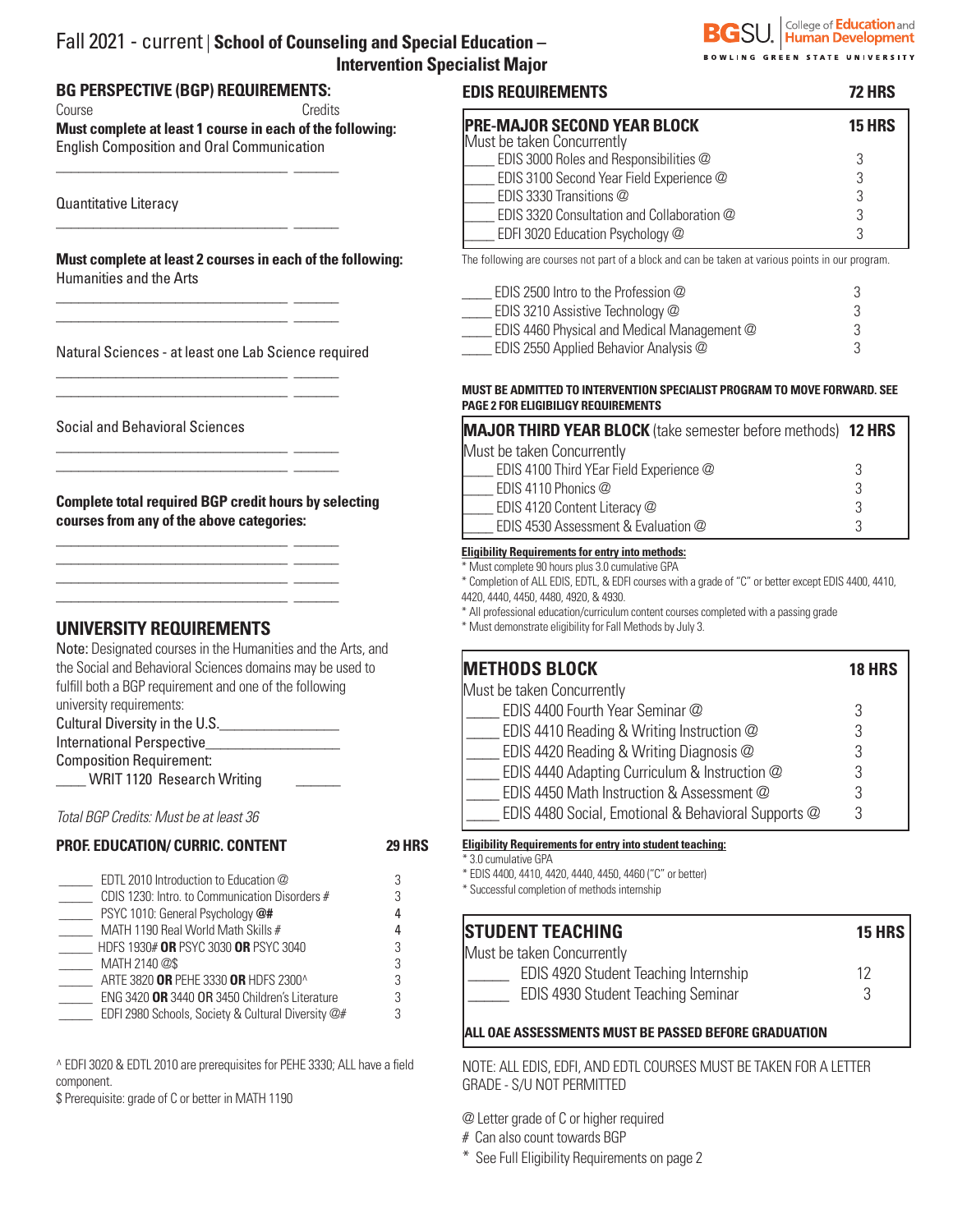### Fall 2021 - current | **School of Counseling and Special Education – Intervention Specialist Major**

## **BG PERSPECTIVE (BGP) REQUIREMENTS:**

Course Credits **Must complete at least 1 course in each of the following:** 

English Composition and Oral Communication

\_\_\_\_\_\_\_\_\_\_\_\_\_\_\_\_\_\_\_\_\_\_\_\_\_\_\_\_\_\_\_ \_\_\_\_\_\_

\_\_\_\_\_\_\_\_\_\_\_\_\_\_\_\_\_\_\_\_\_\_\_\_\_\_\_\_\_\_\_ \_\_\_\_\_\_

\_\_\_\_\_\_\_\_\_\_\_\_\_\_\_\_\_\_\_\_\_\_\_\_\_\_\_\_\_\_\_ \_\_\_\_\_\_ \_\_\_\_\_\_\_\_\_\_\_\_\_\_\_\_\_\_\_\_\_\_\_\_\_\_\_\_\_\_\_ \_\_\_\_\_\_

\_\_\_\_\_\_\_\_\_\_\_\_\_\_\_\_\_\_\_\_\_\_\_\_\_\_\_\_\_\_\_ \_\_\_\_\_\_ \_\_\_\_\_\_\_\_\_\_\_\_\_\_\_\_\_\_\_\_\_\_\_\_\_\_\_\_\_\_\_ \_\_\_\_\_\_

\_\_\_\_\_\_\_\_\_\_\_\_\_\_\_\_\_\_\_\_\_\_\_\_\_\_\_\_\_\_\_ \_\_\_\_\_\_ \_\_\_\_\_\_\_\_\_\_\_\_\_\_\_\_\_\_\_\_\_\_\_\_\_\_\_\_\_\_\_ \_\_\_\_\_\_

\_\_\_\_\_\_\_\_\_\_\_\_\_\_\_\_\_\_\_\_\_\_\_\_\_\_\_\_\_\_\_ \_\_\_\_\_\_ \_\_\_\_\_\_\_\_\_\_\_\_\_\_\_\_\_\_\_\_\_\_\_\_\_\_\_\_\_\_\_ \_\_\_\_\_\_ \_\_\_\_\_\_\_\_\_\_\_\_\_\_\_\_\_\_\_\_\_\_\_\_\_\_\_\_\_\_\_ \_\_\_\_\_\_ \_\_\_\_\_\_\_\_\_\_\_\_\_\_\_\_\_\_\_\_\_\_\_\_\_\_\_\_\_\_\_ \_\_\_\_\_\_

Quantitative Literacy

**Must complete at least 2 courses in each of the following:** Humanities and the Arts

Natural Sciences - at least one Lab Science required

Social and Behavioral Sciences

**Complete total required BGP credit hours by selecting courses from any of the above categories:**

# **UNIVERSITY REQUIREMENTS**

Note: Designated courses in the Humanities and the Arts, and the Social and Behavioral Sciences domains may be used to fulfill both a BGP requirement and one of the following university requirements: Cultural Diversity in the U.S.

International Perspective\_\_\_\_\_\_\_\_\_\_\_\_\_\_\_\_\_\_

Composition Requirement:

WRIT 1120 Research Writing

*Total BGP Credits: Must be at least 36*

### **PROF. EDUCATION/ CURRIC. CONTENT 29 HRS**

| EDTL 2010 Introduction to Education @              |   |
|----------------------------------------------------|---|
| CDIS 1230: Intro. to Communication Disorders #     | 3 |
| PSYC 1010: General Psychology @#                   |   |
| MATH 1190 Real World Math Skills #                 |   |
| HDFS 1930# OR PSYC 3030 OR PSYC 3040               | 3 |
| MATH 2140 @\$                                      | 3 |
| ARTE 3820 OR PEHE 3330 OR HDFS 2300^               | 3 |
| ENG 3420 OR 3440 OR 3450 Children's Literature     | 3 |
| EDFI 2980 Schools, Society & Cultural Diversity @# |   |

^ EDFI 3020 & EDTL 2010 are prerequisites for PEHE 3330; ALL have a field component.

\$ Prerequisite: grade of C or better in MATH 1190

# SU. Gollege of Education and ING GREEN STATE UNIVERSITY

# **EDIS REQUIREMENTS 72 HRS**

| <b>15 HRS</b> |
|---------------|
| З             |
| २             |
|               |
|               |
|               |
|               |

The following are courses not part of a block and can be taken at various points in our program.

| EDIS 2500 Intro to the Profession @         | 3 |
|---------------------------------------------|---|
| EDIS 3210 Assistive Technology @            | 3 |
| EDIS 4460 Physical and Medical Management @ |   |
| EDIS 2550 Applied Behavior Analysis @       |   |

#### **MUST BE ADMITTED TO INTERVENTION SPECIALIST PROGRAM TO MOVE FORWARD. SEE PAGE 2 FOR ELIGIBILIGY REQUIREMENTS**

| <b>MAJOR THIRD YEAR BLOCK</b> (take semester before methods) 12 HRS |  |
|---------------------------------------------------------------------|--|
| Must be taken Concurrently                                          |  |
| EDIS 4100 Third YEar Field Experience @                             |  |
| EDIS 4110 Phonics @                                                 |  |
| EDIS 4120 Content Literacy @                                        |  |
| EDIS 4530 Assessment & Evaluation @                                 |  |

#### **Eligibility Requirements for entry into methods:**

\* Must complete 90 hours plus 3.0 cumulative GPA

\* Completion of ALL EDIS, EDTL, & EDFI courses with a grade of "C" or better except EDIS 4400, 4410,

4420, 4440, 4450, 4480, 4920, & 4930.

\* All professional education/curriculum content courses completed with a passing grade

\* Must demonstrate eligibility for Fall Methods by July 3.

| <b>METHODS BLOCK</b>                                | <b>18 HRS</b> |
|-----------------------------------------------------|---------------|
| Must be taken Concurrently                          |               |
| EDIS 4400 Fourth Year Seminar @                     |               |
| EDIS 4410 Reading & Writing Instruction @           |               |
| EDIS 4420 Reading & Writing Diagnosis @             |               |
| EDIS 4440 Adapting Curriculum & Instruction @       |               |
| EDIS 4450 Math Instruction & Assessment @           |               |
| EDIS 4480 Social, Emotional & Behavioral Supports @ |               |

#### **Eligibility Requirements for entry into student teaching:**

\* 3.0 cumulative GPA

\* EDIS 4400, 4410, 4420, 4440, 4450, 4460 ("C" or better)

\* Successful completion of methods internship

# **STUDENT TEACHING 15 HRS**

| Must be taken Concurrently            |    |
|---------------------------------------|----|
| EDIS 4920 Student Teaching Internship | 12 |
| EDIS 4930 Student Teaching Seminar    |    |

### **ALL OAE ASSESSMENTS MUST BE PASSED BEFORE GRADUATION**

NOTE: ALL EDIS, EDFI, AND EDTL COURSES MUST BE TAKEN FOR A LETTER GRADE - S/U NOT PERMITTED

@ Letter grade of C or higher required

# Can also count towards BGP

\* See Full Eligibility Requirements on page 2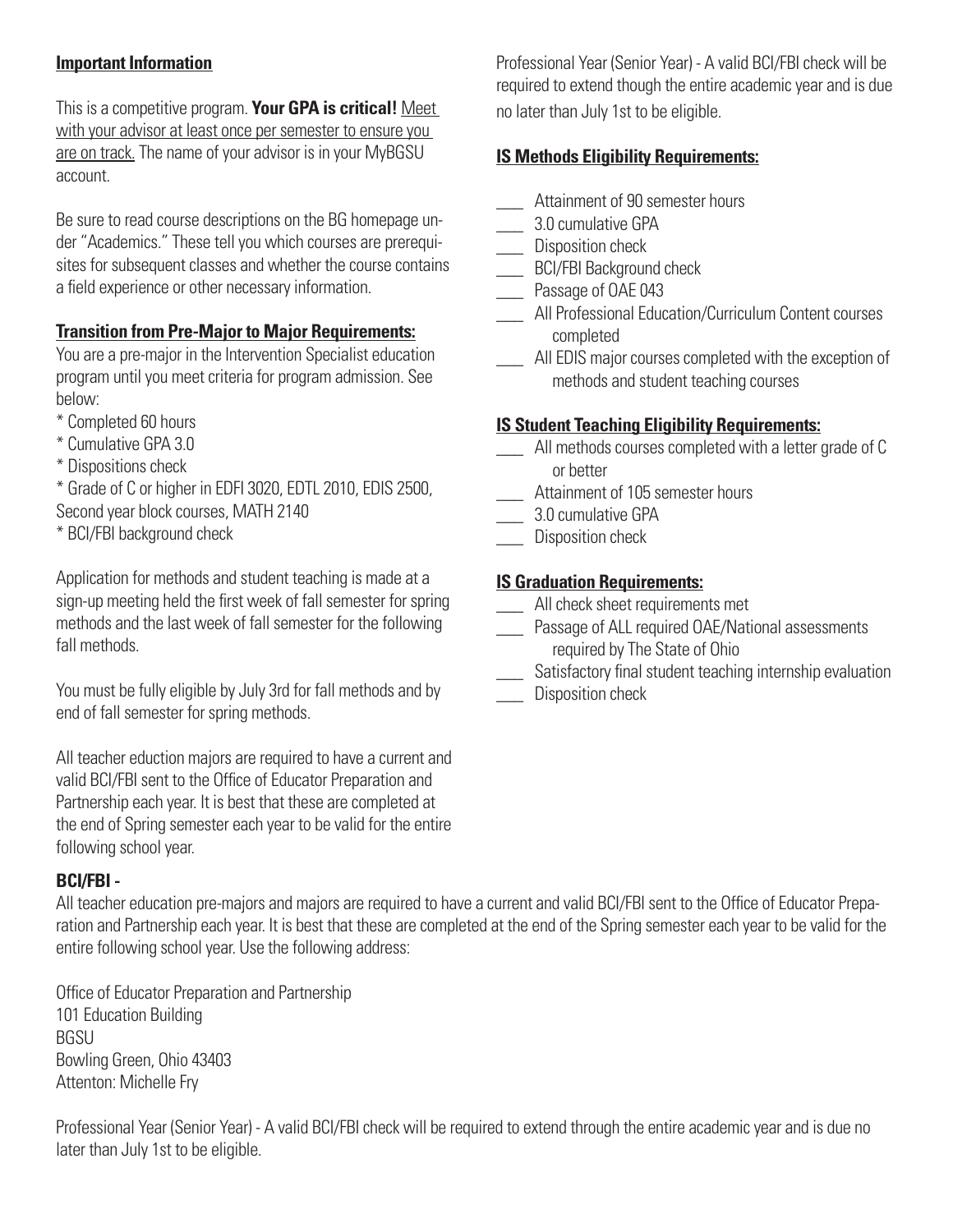# **Important Information**

This is a competitive program. **Your GPA is critical!** Meet with your advisor at least once per semester to ensure you are on track. The name of your advisor is in your MyBGSU account.

Be sure to read course descriptions on the BG homepage under "Academics." These tell you which courses are prerequisites for subsequent classes and whether the course contains a field experience or other necessary information.

## **Transition from Pre-Major to Major Requirements:**

You are a pre-major in the Intervention Specialist education program until you meet criteria for program admission. See below:

- \* Completed 60 hours
- \* Cumulative GPA 3.0
- \* Dispositions check

\* Grade of C or higher in EDFI 3020, EDTL 2010, EDIS 2500,

Second year block courses, MATH 2140

\* BCI/FBI background check

Application for methods and student teaching is made at a sign-up meeting held the first week of fall semester for spring methods and the last week of fall semester for the following fall methods.

You must be fully eligible by July 3rd for fall methods and by end of fall semester for spring methods.

All teacher eduction majors are required to have a current and valid BCI/FBI sent to the Office of Educator Preparation and Partnership each year. It is best that these are completed at the end of Spring semester each year to be valid for the entire following school year.

## **BCI/FBI -**

All teacher education pre-majors and majors are required to have a current and valid BCI/FBI sent to the Office of Educator Preparation and Partnership each year. It is best that these are completed at the end of the Spring semester each year to be valid for the entire following school year. Use the following address:

Office of Educator Preparation and Partnership 101 Education Building **BGSU** Bowling Green, Ohio 43403 Attenton: Michelle Fry

Professional Year (Senior Year) - A valid BCI/FBI check will be required to extend through the entire academic year and is due no later than July 1st to be eligible.

Professional Year (Senior Year) - A valid BCI/FBI check will be required to extend though the entire academic year and is due no later than July 1st to be eligible.

# **IS Methods Eligibility Requirements:**

- **LETT** Attainment of 90 semester hours
- \_\_\_\_\_\_ 3.0 cumulative GPA
- \_\_\_ Disposition check
- **\_\_\_\_ BCI/FBI Background check**
- \_\_\_ Passage of OAE 043
- \_\_\_ All Professional Education/Curriculum Content courses completed
- \_\_\_ All EDIS major courses completed with the exception of methods and student teaching courses

# **IS Student Teaching Eligibility Requirements:**

- All methods courses completed with a letter grade of C or better
- **Lature 2018** Attainment of 105 semester hours
- \_\_\_ 3.0 cumulative GPA
- \_\_\_ Disposition check

## **IS Graduation Requirements:**

- \_\_\_ All check sheet requirements met
- \_\_\_ Passage of ALL required OAE/National assessments required by The State of Ohio
- \_\_\_ Satisfactory final student teaching internship evaluation
- Disposition check